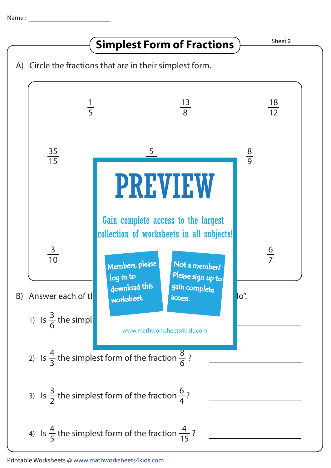